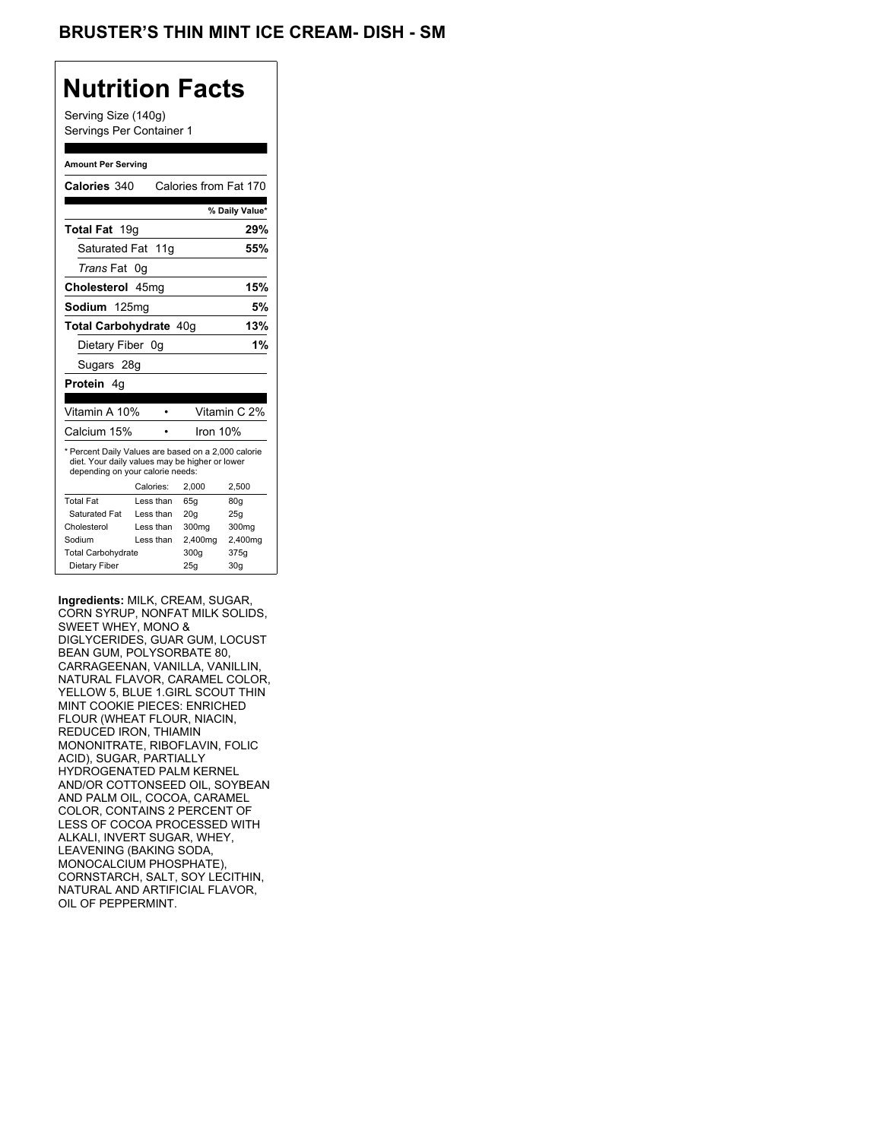## **Nutrition Facts**

Serving Size (140g) Servings Per Container 1

#### **Amount Per Serving**

| Calories 340                                                                                                                              |           |           |          | Calories from Fat 170 |
|-------------------------------------------------------------------------------------------------------------------------------------------|-----------|-----------|----------|-----------------------|
|                                                                                                                                           |           |           |          | % Daily Value*        |
| <b>Total Fat</b> 19g                                                                                                                      |           |           |          | 29%                   |
| Saturated Fat 11g                                                                                                                         |           |           |          | 55%                   |
| <i>Trans</i> Fat                                                                                                                          | 0g        |           |          |                       |
| Cholesterol 45mg                                                                                                                          |           |           |          | 15%                   |
| Sodium 125mg                                                                                                                              |           |           |          | 5%                    |
| Total Carbohydrate 40q                                                                                                                    |           |           | 13%      |                       |
| Dietary Fiber 0g                                                                                                                          |           |           |          | 1%                    |
| Sugars 28g                                                                                                                                |           |           |          |                       |
| <b>Protein</b> 4q                                                                                                                         |           |           |          |                       |
|                                                                                                                                           |           |           |          |                       |
| Vitamin A 10%                                                                                                                             |           |           |          | Vitamin C 2%          |
| Calcium 15%                                                                                                                               |           |           | Iron 10% |                       |
| * Percent Daily Values are based on a 2,000 calorie<br>diet. Your daily values may be higher or lower<br>depending on your calorie needs: |           |           |          |                       |
|                                                                                                                                           | Calories: |           |          |                       |
|                                                                                                                                           |           |           | 2.000    | 2,500                 |
| <b>Total Fat</b>                                                                                                                          |           | Less than | 65q      | 80q                   |
| Saturated Fat                                                                                                                             |           | Less than | 20q      | 25g                   |
| Cholesterol                                                                                                                               |           | Less than | 300mg    | 300mg                 |
| Sodium                                                                                                                                    |           | Less than | 2,400mg  | 2,400mg               |
| <b>Total Carbohydrate</b>                                                                                                                 |           |           | 300g     | 375g                  |

**Ingredients:** MILK, CREAM, SUGAR, CORN SYRUP, NONFAT MILK SOLIDS, SWEET WHEY, MONO & DIGLYCERIDES, GUAR GUM, LOCUST BEAN GUM, POLYSORBATE 80, CARRAGEENAN, VANILLA, VANILLIN, NATURAL FLAVOR, CARAMEL COLOR, YELLOW 5, BLUE 1.GIRL SCOUT THIN MINT COOKIE PIECES: ENRICHED FLOUR (WHEAT FLOUR, NIACIN, REDUCED IRON, THIAMIN MONONITRATE, RIBOFLAVIN, FOLIC ACID), SUGAR, PARTIALLY HYDROGENATED PALM KERNEL AND/OR COTTONSEED OIL, SOYBEAN AND PALM OIL, COCOA, CARAMEL COLOR, CONTAINS 2 PERCENT OF LESS OF COCOA PROCESSED WITH ALKALI, INVERT SUGAR, WHEY, LEAVENING (BAKING SODA, MONOCALCIUM PHOSPHATE), CORNSTARCH, SALT, SOY LECITHIN, NATURAL AND ARTIFICIAL FLAVOR, OIL OF PEPPERMINT.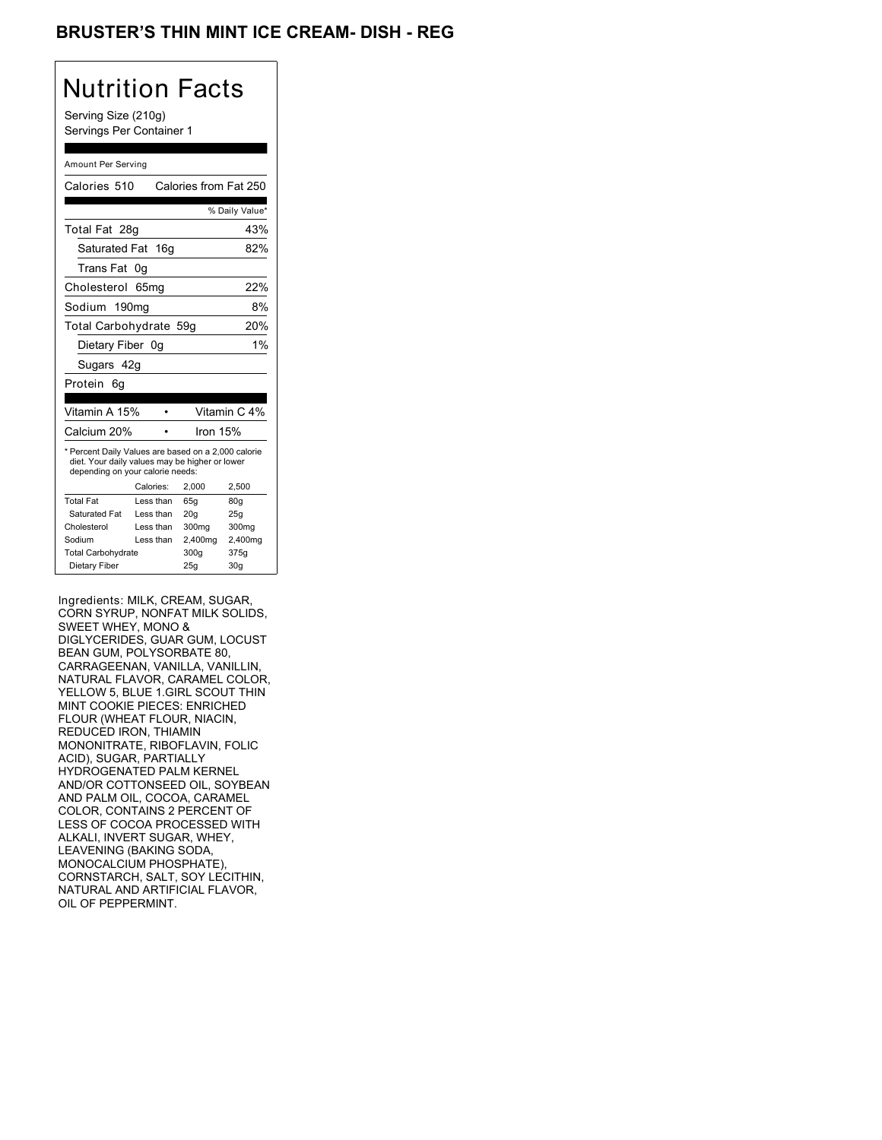## BRUSTER'S THIN MINT ICE CREAM- DISH - REG

## Nutrition Facts

Serving Size (210g) Servings Per Container 1

#### Amount Per Serving

| Calories 510                                                                                                                              |                  | Calories from Fat 250 |                 |
|-------------------------------------------------------------------------------------------------------------------------------------------|------------------|-----------------------|-----------------|
|                                                                                                                                           |                  |                       | % Daily Value*  |
| Total Fat 28g                                                                                                                             |                  |                       | 43%             |
| Saturated Fat 16g                                                                                                                         |                  |                       | 82%             |
| Trans Fat                                                                                                                                 | 0g               |                       |                 |
| Cholesterol                                                                                                                               | 65 <sub>mq</sub> |                       | 22%             |
| Sodium 190mg                                                                                                                              |                  |                       | 8%              |
| Total Carbohydrate 59g                                                                                                                    |                  |                       | 20%             |
| Dietary Fiber 0q                                                                                                                          |                  |                       | 1%              |
| Sugars 42g                                                                                                                                |                  |                       |                 |
| Protein<br>6g                                                                                                                             |                  |                       |                 |
|                                                                                                                                           |                  |                       |                 |
| Vitamin A 15%                                                                                                                             |                  |                       | Vitamin C 4%    |
| Calcium 20%                                                                                                                               |                  | Iron 15%              |                 |
| * Percent Daily Values are based on a 2,000 calorie<br>diet. Your daily values may be higher or lower<br>depending on your calorie needs: |                  |                       |                 |
|                                                                                                                                           | Calories:        | 2.000                 | 2,500           |
| <b>Total Fat</b>                                                                                                                          | Less than        | 65q                   | 80q             |
| Saturated Fat                                                                                                                             | I ess than       | 20q                   | 25g             |
| Cholesterol                                                                                                                               | I ess than       | 300mg                 | 300mg           |
| Sodium                                                                                                                                    | Less than        | 2,400mg               | 2,400mg         |
| <b>Total Carbohydrate</b>                                                                                                                 |                  | 300g                  | 375g            |
|                                                                                                                                           |                  |                       |                 |
| Dietary Fiber                                                                                                                             |                  | 25g                   | 30 <sub>g</sub> |

Ingredients: MILK, CREAM, SUGAR, CORN SYRUP, NONFAT MILK SOLIDS, SWEET WHEY, MONO & DIGLYCERIDES, GUAR GUM, LOCUST BEAN GUM, POLYSORBATE 80, CARRAGEENAN, VANILLA, VANILLIN, NATURAL FLAVOR, CARAMEL COLOR, YELLOW 5, BLUE 1.GIRL SCOUT THIN MINT COOKIE PIECES: ENRICHED FLOUR (WHEAT FLOUR, NIACIN, REDUCED IRON, THIAMIN MONONITRATE, RIBOFLAVIN, FOLIC ACID), SUGAR, PARTIALLY HYDROGENATED PALM KERNEL AND/OR COTTONSEED OIL, SOYBEAN AND PALM OIL, COCOA, CARAMEL COLOR, CONTAINS 2 PERCENT OF LESS OF COCOA PROCESSED WITH ALKALI, INVERT SUGAR, WHEY, LEAVENING (BAKING SODA, MONOCALCIUM PHOSPHATE), CORNSTARCH, SALT, SOY LECITHIN, NATURAL AND ARTIFICIAL FLAVOR, OIL OF PEPPERMINT.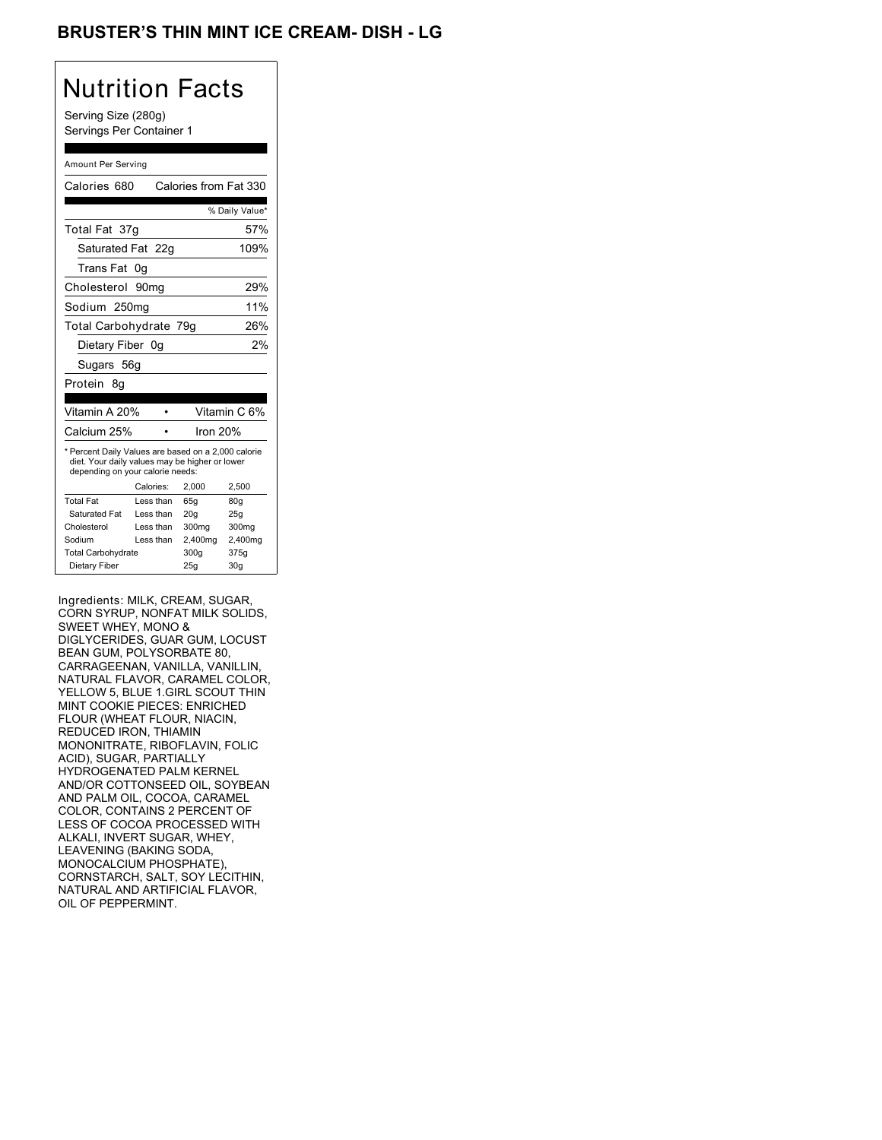## BRUSTER'S THIN MINT ICE CREAM- DISH - LG

## Nutrition Facts

Serving Size (280g) Servings Per Container 1

#### Amount Per Serving

| Calories 680                                                                                                                              |                  | Calories from Fat 330 |                |
|-------------------------------------------------------------------------------------------------------------------------------------------|------------------|-----------------------|----------------|
|                                                                                                                                           |                  |                       | % Daily Value* |
| Total Fat 37g                                                                                                                             |                  |                       | 57%            |
| Saturated Fat 22g                                                                                                                         |                  |                       | 109%           |
| Trans Fat                                                                                                                                 | 0g               |                       |                |
| Cholesterol                                                                                                                               | 90 <sub>mq</sub> |                       | 29%            |
| Sodium 250mg                                                                                                                              |                  |                       | 11%            |
| Total Carbohydrate 79g                                                                                                                    |                  |                       | 26%            |
| Dietary Fiber 0g                                                                                                                          |                  |                       | 2%             |
| Sugars 56g                                                                                                                                |                  |                       |                |
| Protein<br>8α                                                                                                                             |                  |                       |                |
|                                                                                                                                           |                  |                       |                |
|                                                                                                                                           |                  |                       |                |
| Vitamin A 20%                                                                                                                             |                  |                       | Vitamin C 6%   |
| Calcium 25%                                                                                                                               |                  | lron 20%              |                |
| * Percent Daily Values are based on a 2,000 calorie<br>diet. Your daily values may be higher or lower<br>depending on your calorie needs: |                  |                       |                |
|                                                                                                                                           | Calories:        | 2,000                 | 2,500          |
| <b>Total Fat</b>                                                                                                                          | Less than        | 65q                   | 80q            |
| Saturated Fat                                                                                                                             | Less than        | 20q                   | 25q            |
| Cholesterol                                                                                                                               | Less than        | 300mg                 | 300mg          |
| Sodium                                                                                                                                    | Less than        | 2,400mg               | 2,400mg        |
| <b>Total Carbohydrate</b>                                                                                                                 |                  | 300g                  | 375g           |

Ingredients: MILK, CREAM, SUGAR, CORN SYRUP, NONFAT MILK SOLIDS, SWEET WHEY, MONO & DIGLYCERIDES, GUAR GUM, LOCUST BEAN GUM, POLYSORBATE 80, CARRAGEENAN, VANILLA, VANILLIN, NATURAL FLAVOR, CARAMEL COLOR, YELLOW 5, BLUE 1.GIRL SCOUT THIN MINT COOKIE PIECES: ENRICHED FLOUR (WHEAT FLOUR, NIACIN, REDUCED IRON, THIAMIN MONONITRATE, RIBOFLAVIN, FOLIC ACID), SUGAR, PARTIALLY HYDROGENATED PALM KERNEL AND/OR COTTONSEED OIL, SOYBEAN AND PALM OIL, COCOA, CARAMEL COLOR, CONTAINS 2 PERCENT OF LESS OF COCOA PROCESSED WITH ALKALI, INVERT SUGAR, WHEY, LEAVENING (BAKING SODA, MONOCALCIUM PHOSPHATE), CORNSTARCH, SALT, SOY LECITHIN, NATURAL AND ARTIFICIAL FLAVOR, OIL OF PEPPERMINT.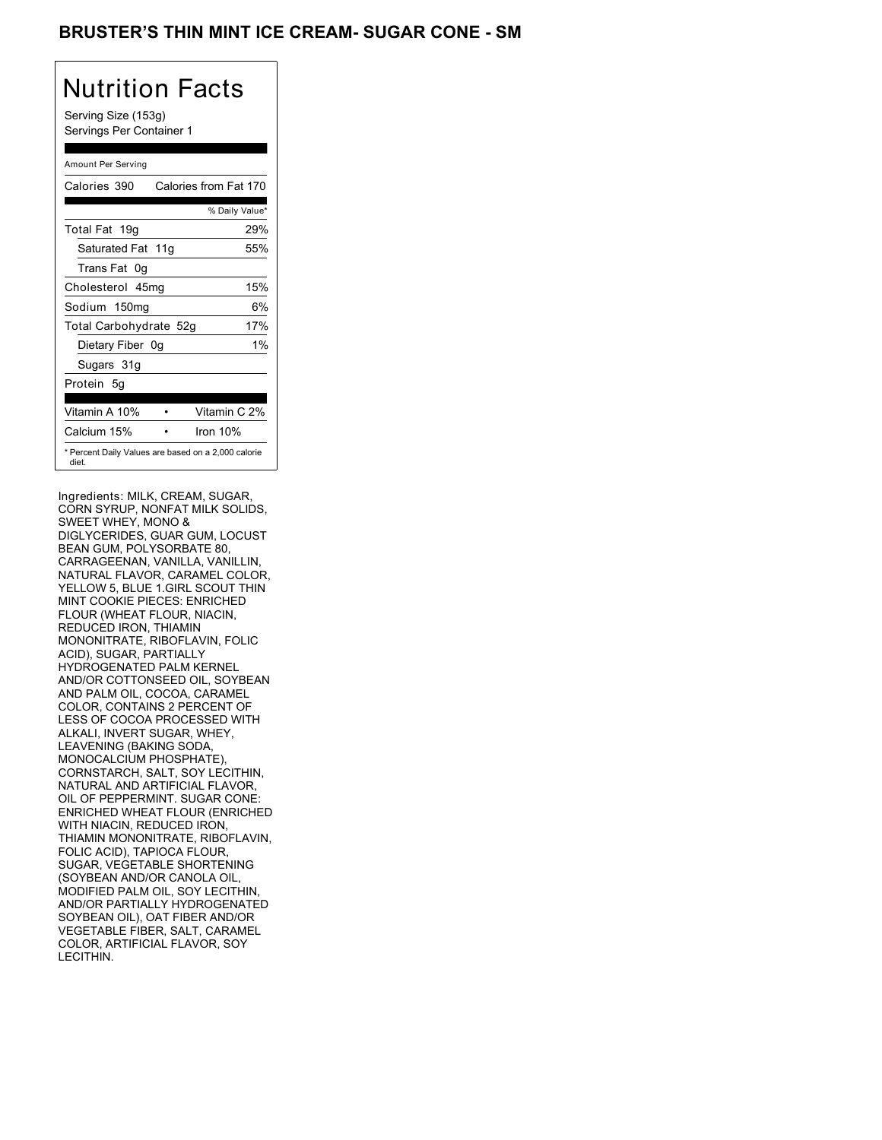## BRUSTER'S THIN MINT ICE CREAM- SUGAR CONE - SM

# Nutrition Facts

Serving Size (153g) Servings Per Container 1

### Amount Per Serving

| Calories 390                                                 | Calories from Fat 170 |
|--------------------------------------------------------------|-----------------------|
|                                                              | % Daily Value*        |
| Total Fat 19g                                                | 29%                   |
| Saturated Fat 11g                                            | 55%                   |
| Trans Fat 0q                                                 |                       |
| Cholesterol 45mg                                             | 15%                   |
| Sodium 150mg                                                 | 6%                    |
| Total Carbohydrate 52g                                       | 17%                   |
| Dietary Fiber 0g                                             | $1\%$                 |
| Sugars 31g                                                   |                       |
| Protein 5q                                                   |                       |
| Vitamin A 10%                                                | Vitamin C 2%          |
| Calcium 15%                                                  | Iron $10%$            |
| * Percent Daily Values are based on a 2,000 calorie<br>diet. |                       |

Ingredients: MILK, CREAM, SUGAR, CORN SYRUP, NONFAT MILK SOLIDS, SWEET WHEY, MONO & DIGLYCERIDES, GUAR GUM, LOCUST BEAN GUM, POLYSORBATE 80, CARRAGEENAN, VANILLA, VANILLIN, NATURAL FLAVOR, CARAMEL COLOR, YELLOW 5, BLUE 1.GIRL SCOUT THIN MINT COOKIE PIECES: ENRICHED FLOUR (WHEAT FLOUR, NIACIN, REDUCED IRON, THIAMIN MONONITRATE, RIBOFLAVIN, FOLIC ACID), SUGAR, PARTIALLY HYDROGENATED PALM KERNEL AND/OR COTTONSEED OIL, SOYBEAN AND PALM OIL, COCOA, CARAMEL COLOR, CONTAINS 2 PERCENT OF LESS OF COCOA PROCESSED WITH ALKALI, INVERT SUGAR, WHEY, LEAVENING (BAKING SODA, MONOCALCIUM PHOSPHATE), CORNSTARCH, SALT, SOY LECITHIN, NATURAL AND ARTIFICIAL FLAVOR, OIL OF PEPPERMINT. SUGAR CONE: ENRICHED WHEAT FLOUR (ENRICHED WITH NIACIN, REDUCED IRON, THIAMIN MONONITRATE, RIBOFLAVIN, FOLIC ACID), TAPIOCA FLOUR, SUGAR, VEGETABLE SHORTENING (SOYBEAN AND/OR CANOLA OIL, MODIFIED PALM OIL, SOY LECITHIN, AND/OR PARTIALLY HYDROGENATED SOYBEAN OIL), OAT FIBER AND/OR VEGETABLE FIBER, SALT, CARAMEL COLOR, ARTIFICIAL FLAVOR, SOY LECITHIN.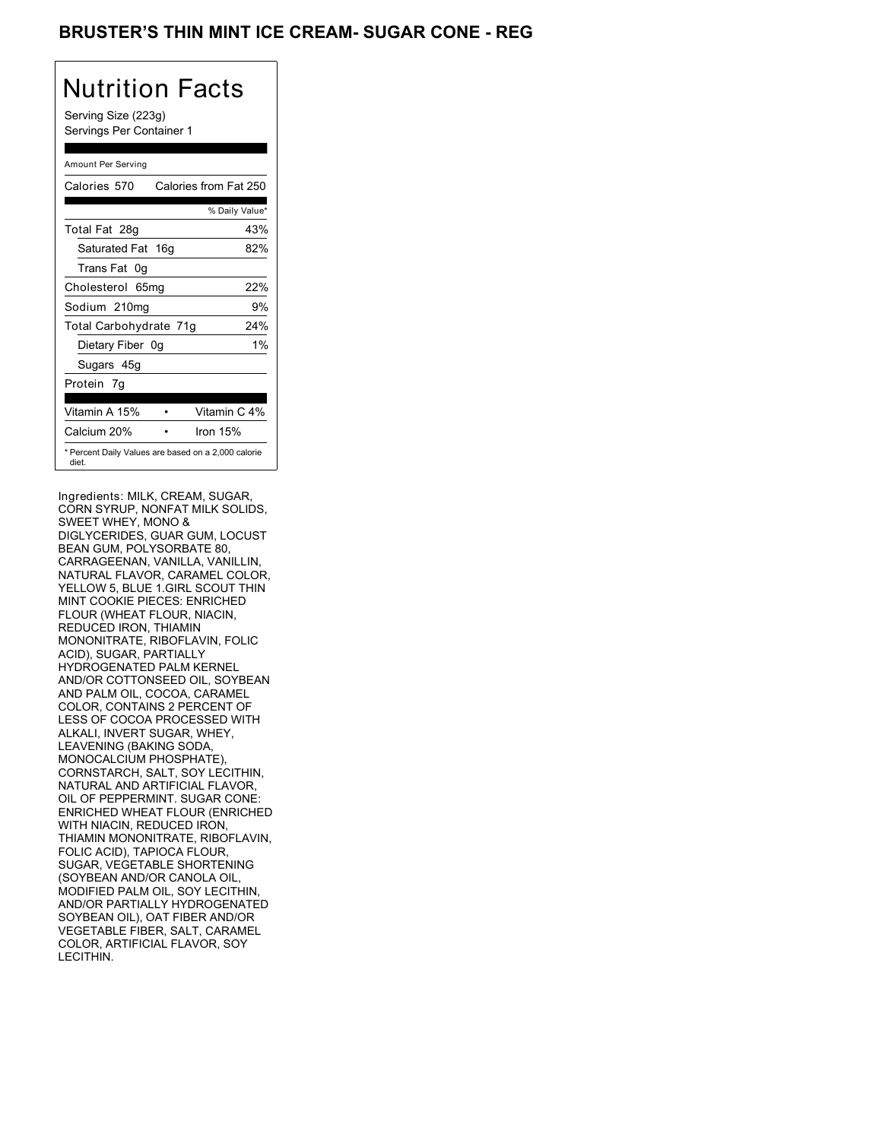## BRUSTER'S THIN MINT ICE CREAM- SUGAR CONE - REG

# Nutrition Facts

Serving Size (223g) Servings Per Container 1

### Amount Per Serving

| Calories 570           | Calories from Fat 250                               |
|------------------------|-----------------------------------------------------|
|                        | % Daily Value*                                      |
| Total Fat 28g          | 43%                                                 |
| Saturated Fat 16g      | 82%                                                 |
| Trans Fat 0q           |                                                     |
| Cholesterol 65mg       | 22%                                                 |
| Sodium 210mg           | 9%                                                  |
| Total Carbohydrate 71g | 24%                                                 |
| Dietary Fiber 0g       | $1\%$                                               |
| Sugars 45g             |                                                     |
| Protein 7q             |                                                     |
| Vitamin A 15%          | Vitamin C 4%                                        |
| Calcium 20%            | Iron $15%$                                          |
| diet.                  | * Percent Daily Values are based on a 2,000 calorie |

Ingredients: MILK, CREAM, SUGAR, CORN SYRUP, NONFAT MILK SOLIDS, SWEET WHEY, MONO & DIGLYCERIDES, GUAR GUM, LOCUST BEAN GUM, POLYSORBATE 80, CARRAGEENAN, VANILLA, VANILLIN, NATURAL FLAVOR, CARAMEL COLOR, YELLOW 5, BLUE 1.GIRL SCOUT THIN MINT COOKIE PIECES: ENRICHED FLOUR (WHEAT FLOUR, NIACIN, REDUCED IRON, THIAMIN MONONITRATE, RIBOFLAVIN, FOLIC ACID), SUGAR, PARTIALLY HYDROGENATED PALM KERNEL AND/OR COTTONSEED OIL, SOYBEAN AND PALM OIL, COCOA, CARAMEL COLOR, CONTAINS 2 PERCENT OF LESS OF COCOA PROCESSED WITH ALKALI, INVERT SUGAR, WHEY, LEAVENING (BAKING SODA, MONOCALCIUM PHOSPHATE), CORNSTARCH, SALT, SOY LECITHIN, NATURAL AND ARTIFICIAL FLAVOR, OIL OF PEPPERMINT. SUGAR CONE: ENRICHED WHEAT FLOUR (ENRICHED WITH NIACIN, REDUCED IRON, THIAMIN MONONITRATE, RIBOFLAVIN, FOLIC ACID), TAPIOCA FLOUR, SUGAR, VEGETABLE SHORTENING (SOYBEAN AND/OR CANOLA OIL, MODIFIED PALM OIL, SOY LECITHIN, AND/OR PARTIALLY HYDROGENATED SOYBEAN OIL), OAT FIBER AND/OR VEGETABLE FIBER, SALT, CARAMEL COLOR, ARTIFICIAL FLAVOR, SOY LECITHIN.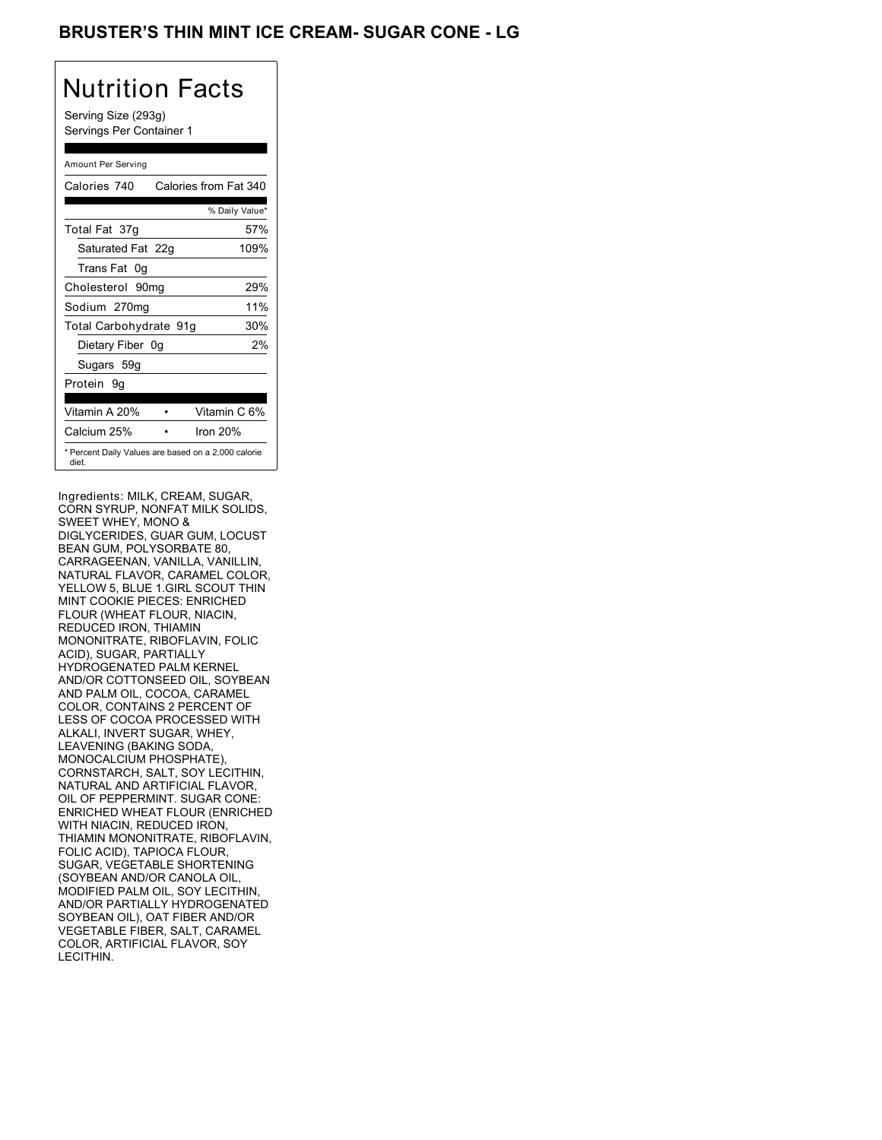## BRUSTER'S THIN MINT ICE CREAM- SUGAR CONE - LG

# Nutrition Facts

Serving Size (293g) Servings Per Container 1

### Amount Per Serving

| Calories 740           | Calories from Fat 340                               |
|------------------------|-----------------------------------------------------|
|                        | % Daily Value*                                      |
| Total Fat 37g          | 57%                                                 |
| Saturated Fat 22g      | 109%                                                |
| Trans Fat 0q           |                                                     |
| Cholesterol 90mg       | 29%                                                 |
| Sodium 270mg           | 11%                                                 |
| Total Carbohydrate 91g | 30%                                                 |
| Dietary Fiber 0g       | 2%                                                  |
| Sugars 59g             |                                                     |
| Protein 9q             |                                                     |
|                        |                                                     |
| Vitamin A 20%          | Vitamin C 6%                                        |
| Calcium 25%            | Iron $20%$                                          |
| diet.                  | * Percent Daily Values are based on a 2,000 calorie |

Ingredients: MILK, CREAM, SUGAR, CORN SYRUP, NONFAT MILK SOLIDS, SWEET WHEY, MONO & DIGLYCERIDES, GUAR GUM, LOCUST BEAN GUM, POLYSORBATE 80, CARRAGEENAN, VANILLA, VANILLIN, NATURAL FLAVOR, CARAMEL COLOR, YELLOW 5, BLUE 1.GIRL SCOUT THIN MINT COOKIE PIECES: ENRICHED FLOUR (WHEAT FLOUR, NIACIN, REDUCED IRON, THIAMIN MONONITRATE, RIBOFLAVIN, FOLIC ACID), SUGAR, PARTIALLY HYDROGENATED PALM KERNEL AND/OR COTTONSEED OIL, SOYBEAN AND PALM OIL, COCOA, CARAMEL COLOR, CONTAINS 2 PERCENT OF LESS OF COCOA PROCESSED WITH ALKALI, INVERT SUGAR, WHEY, LEAVENING (BAKING SODA, MONOCALCIUM PHOSPHATE), CORNSTARCH, SALT, SOY LECITHIN, NATURAL AND ARTIFICIAL FLAVOR, OIL OF PEPPERMINT. SUGAR CONE: ENRICHED WHEAT FLOUR (ENRICHED WITH NIACIN, REDUCED IRON, THIAMIN MONONITRATE, RIBOFLAVIN, FOLIC ACID), TAPIOCA FLOUR, SUGAR, VEGETABLE SHORTENING (SOYBEAN AND/OR CANOLA OIL, MODIFIED PALM OIL, SOY LECITHIN, AND/OR PARTIALLY HYDROGENATED SOYBEAN OIL), OAT FIBER AND/OR VEGETABLE FIBER, SALT, CARAMEL COLOR, ARTIFICIAL FLAVOR, SOY LECITHIN.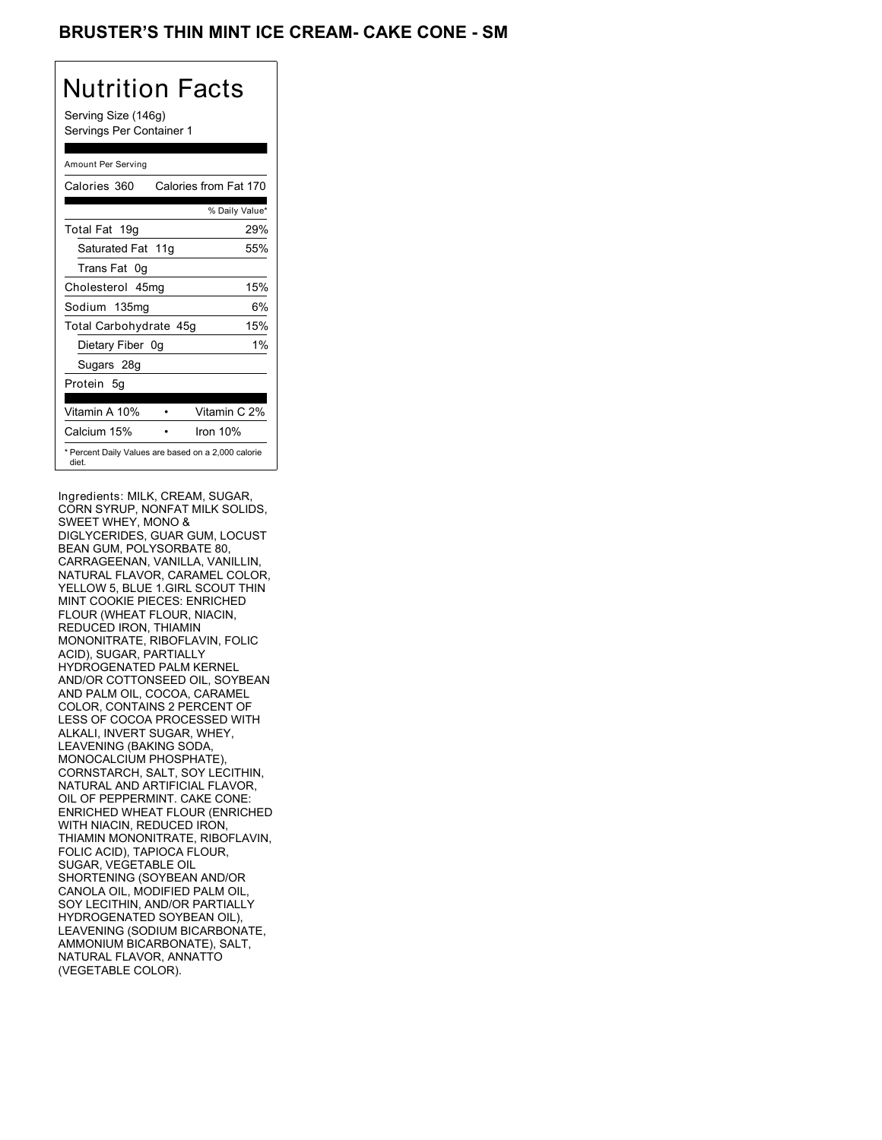## BRUSTER'S THIN MINT ICE CREAM- CAKE CONE - SM

## Nutrition Facts

Serving Size (146g) Servings Per Container 1

### Amount Per Serving

| Calories 360                                                 | Calories from Fat 170 |
|--------------------------------------------------------------|-----------------------|
|                                                              | % Daily Value*        |
| Total Fat 19g                                                | 29%                   |
| Saturated Fat 11g                                            | 55%                   |
| Trans Fat 0q                                                 |                       |
| Cholesterol 45mg                                             | 15%                   |
| Sodium 135mg                                                 | 6%                    |
| Total Carbohydrate 45g                                       | 15%                   |
| Dietary Fiber 0g                                             | $1\%$                 |
| Sugars 28g                                                   |                       |
| Protein 5q                                                   |                       |
| Vitamin A 10%                                                | Vitamin C 2%          |
| Calcium 15%                                                  | Iron 10%              |
| * Percent Daily Values are based on a 2,000 calorie<br>diet. |                       |

Ingredients: MILK, CREAM, SUGAR, CORN SYRUP, NONFAT MILK SOLIDS, SWEET WHEY, MONO & DIGLYCERIDES, GUAR GUM, LOCUST BEAN GUM, POLYSORBATE 80, CARRAGEENAN, VANILLA, VANILLIN, NATURAL FLAVOR, CARAMEL COLOR, YELLOW 5, BLUE 1.GIRL SCOUT THIN MINT COOKIE PIECES: ENRICHED FLOUR (WHEAT FLOUR, NIACIN, REDUCED IRON, THIAMIN MONONITRATE, RIBOFLAVIN, FOLIC ACID), SUGAR, PARTIALLY HYDROGENATED PALM KERNEL AND/OR COTTONSEED OIL, SOYBEAN AND PALM OIL, COCOA, CARAMEL COLOR, CONTAINS 2 PERCENT OF LESS OF COCOA PROCESSED WITH ALKALI, INVERT SUGAR, WHEY, LEAVENING (BAKING SODA, MONOCALCIUM PHOSPHATE), CORNSTARCH, SALT, SOY LECITHIN, NATURAL AND ARTIFICIAL FLAVOR, OIL OF PEPPERMINT. CAKE CONE: ENRICHED WHEAT FLOUR (ENRICHED WITH NIACIN, REDUCED IRON, THIAMIN MONONITRATE, RIBOFLAVIN, FOLIC ACID), TAPIOCA FLOUR, SUGAR, VEGETABLE OIL SHORTENING (SOYBEAN AND/OR CANOLA OIL, MODIFIED PALM OIL, SOY LECITHIN, AND/OR PARTIALLY HYDROGENATED SOYBEAN OIL), LEAVENING (SODIUM BICARBONATE, AMMONIUM BICARBONATE), SALT, NATURAL FLAVOR, ANNATTO (VEGETABLE COLOR).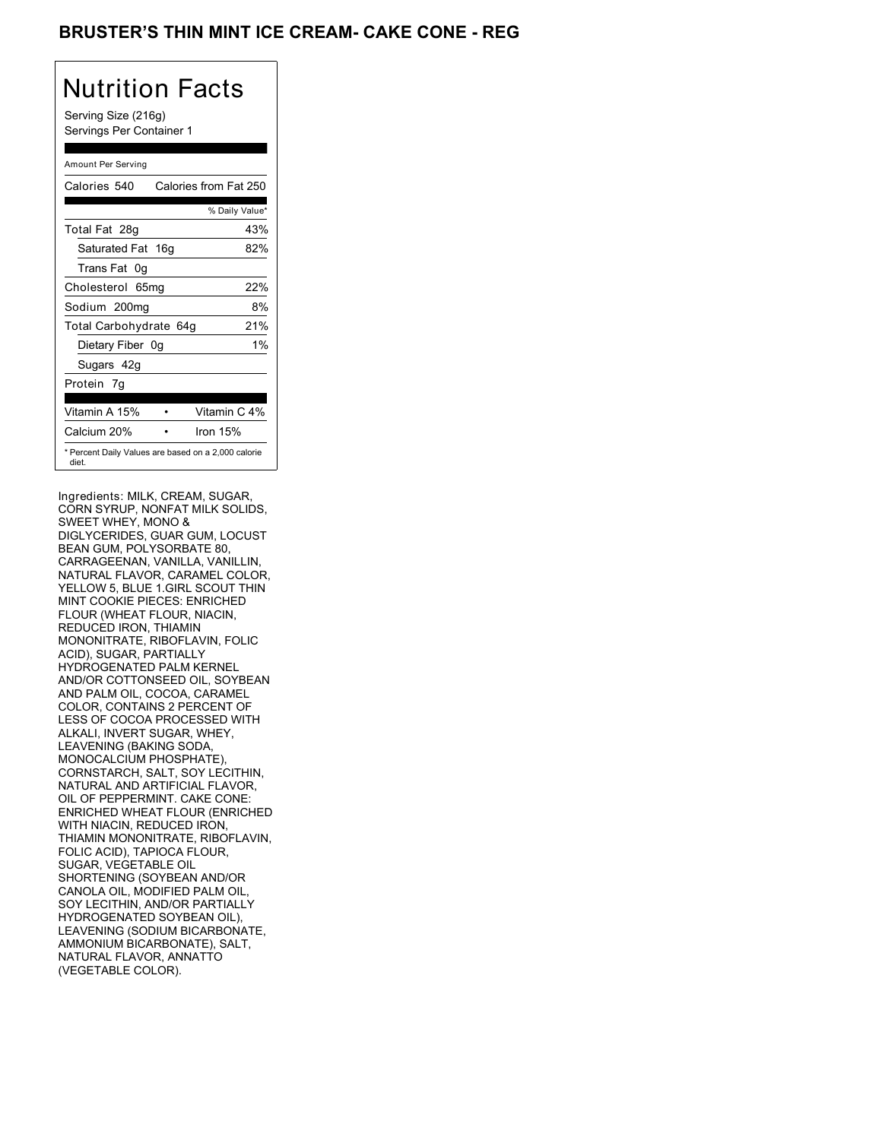## BRUSTER'S THIN MINT ICE CREAM- CAKE CONE - REG

# Nutrition Facts

Serving Size (216g) Servings Per Container 1

### Amount Per Serving

| Calories 540                                                 | Calories from Fat 250 |
|--------------------------------------------------------------|-----------------------|
|                                                              | % Daily Value*        |
| Total Fat 28g                                                | 43%                   |
| Saturated Fat 16g                                            | 82%                   |
| Trans Fat 0q                                                 |                       |
| Cholesterol 65mg                                             | 22%                   |
| Sodium 200mg                                                 | 8%                    |
| Total Carbohydrate 64g                                       | 21%                   |
| Dietary Fiber 0g                                             | $1\%$                 |
| Sugars 42g                                                   |                       |
| Protein 7q                                                   |                       |
| Vitamin A 15%                                                | Vitamin C 4%          |
| Calcium 20%                                                  | Iron $15%$            |
| * Percent Daily Values are based on a 2,000 calorie<br>diet. |                       |

Ingredients: MILK, CREAM, SUGAR, CORN SYRUP, NONFAT MILK SOLIDS, SWEET WHEY, MONO & DIGLYCERIDES, GUAR GUM, LOCUST BEAN GUM, POLYSORBATE 80, CARRAGEENAN, VANILLA, VANILLIN, NATURAL FLAVOR, CARAMEL COLOR, YELLOW 5, BLUE 1.GIRL SCOUT THIN MINT COOKIE PIECES: ENRICHED FLOUR (WHEAT FLOUR, NIACIN, REDUCED IRON, THIAMIN MONONITRATE, RIBOFLAVIN, FOLIC ACID), SUGAR, PARTIALLY HYDROGENATED PALM KERNEL AND/OR COTTONSEED OIL, SOYBEAN AND PALM OIL, COCOA, CARAMEL COLOR, CONTAINS 2 PERCENT OF LESS OF COCOA PROCESSED WITH ALKALI, INVERT SUGAR, WHEY, LEAVENING (BAKING SODA, MONOCALCIUM PHOSPHATE), CORNSTARCH, SALT, SOY LECITHIN, NATURAL AND ARTIFICIAL FLAVOR, OIL OF PEPPERMINT. CAKE CONE: ENRICHED WHEAT FLOUR (ENRICHED WITH NIACIN, REDUCED IRON, THIAMIN MONONITRATE, RIBOFLAVIN, FOLIC ACID), TAPIOCA FLOUR, SUGAR, VEGETABLE OIL SHORTENING (SOYBEAN AND/OR CANOLA OIL, MODIFIED PALM OIL, SOY LECITHIN, AND/OR PARTIALLY HYDROGENATED SOYBEAN OIL), LEAVENING (SODIUM BICARBONATE, AMMONIUM BICARBONATE), SALT, NATURAL FLAVOR, ANNATTO (VEGETABLE COLOR).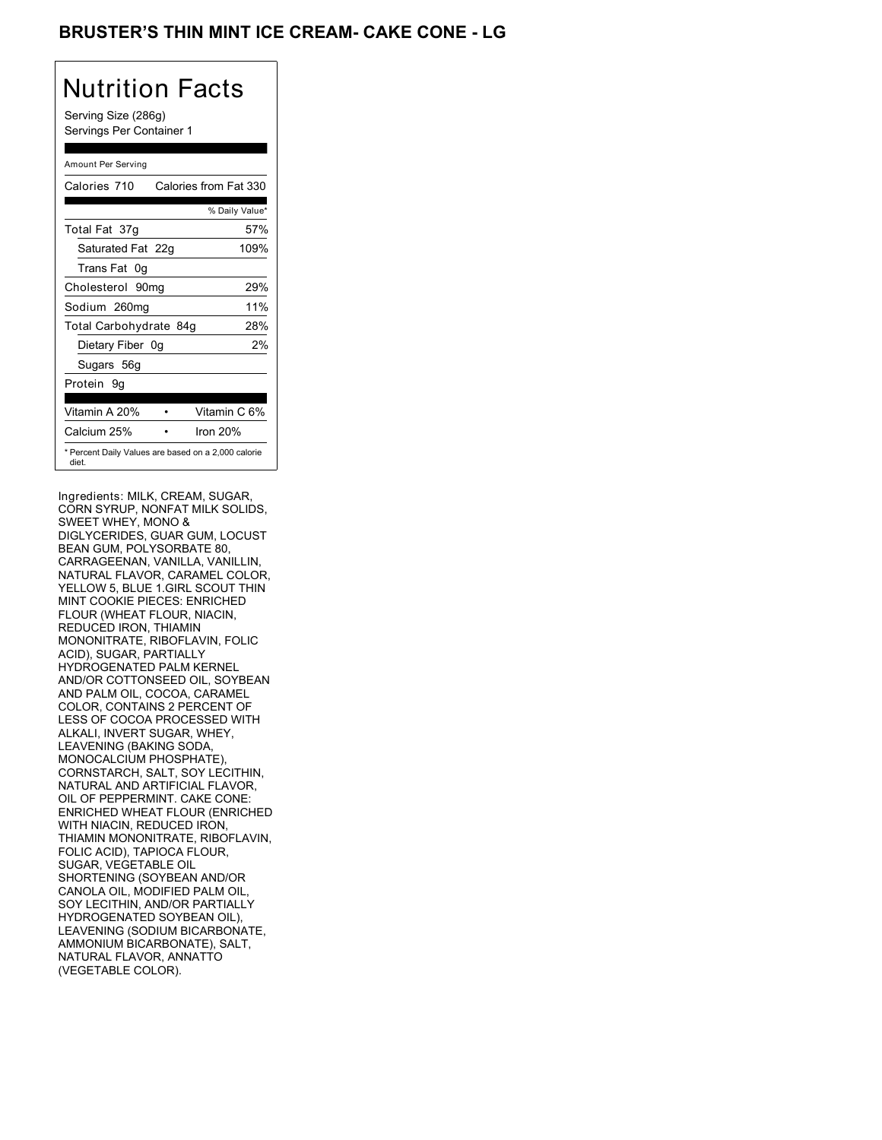## BRUSTER'S THIN MINT ICE CREAM- CAKE CONE - LG

## Nutrition Facts

Serving Size (286g) Servings Per Container 1

### Amount Per Serving

| Calories 710           | Calories from Fat 330                               |
|------------------------|-----------------------------------------------------|
|                        | % Daily Value*                                      |
| Total Fat 37g          | 57%                                                 |
| Saturated Fat 22g      | 109%                                                |
| Trans Fat 0g           |                                                     |
| Cholesterol 90mg       | 29%                                                 |
| Sodium 260mg           | 11%                                                 |
| Total Carbohydrate 84g | 28%                                                 |
| Dietary Fiber 0g       | 2%                                                  |
| Sugars 56g             |                                                     |
| Protein 9q             |                                                     |
|                        |                                                     |
| Vitamin A 20%          | Vitamin C 6%                                        |
| Calcium 25%            | Iron 20%                                            |
| diet.                  | * Percent Daily Values are based on a 2,000 calorie |

Ingredients: MILK, CREAM, SUGAR, CORN SYRUP, NONFAT MILK SOLIDS, SWEET WHEY, MONO & DIGLYCERIDES, GUAR GUM, LOCUST BEAN GUM, POLYSORBATE 80, CARRAGEENAN, VANILLA, VANILLIN, NATURAL FLAVOR, CARAMEL COLOR, YELLOW 5, BLUE 1.GIRL SCOUT THIN MINT COOKIE PIECES: ENRICHED FLOUR (WHEAT FLOUR, NIACIN, REDUCED IRON, THIAMIN MONONITRATE, RIBOFLAVIN, FOLIC ACID), SUGAR, PARTIALLY HYDROGENATED PALM KERNEL AND/OR COTTONSEED OIL, SOYBEAN AND PALM OIL, COCOA, CARAMEL COLOR, CONTAINS 2 PERCENT OF LESS OF COCOA PROCESSED WITH ALKALI, INVERT SUGAR, WHEY, LEAVENING (BAKING SODA, MONOCALCIUM PHOSPHATE), CORNSTARCH, SALT, SOY LECITHIN, NATURAL AND ARTIFICIAL FLAVOR, OIL OF PEPPERMINT. CAKE CONE: ENRICHED WHEAT FLOUR (ENRICHED WITH NIACIN, REDUCED IRON, THIAMIN MONONITRATE, RIBOFLAVIN, FOLIC ACID), TAPIOCA FLOUR, SUGAR, VEGETABLE OIL SHORTENING (SOYBEAN AND/OR CANOLA OIL, MODIFIED PALM OIL, SOY LECITHIN, AND/OR PARTIALLY HYDROGENATED SOYBEAN OIL), LEAVENING (SODIUM BICARBONATE, AMMONIUM BICARBONATE), SALT, NATURAL FLAVOR, ANNATTO (VEGETABLE COLOR).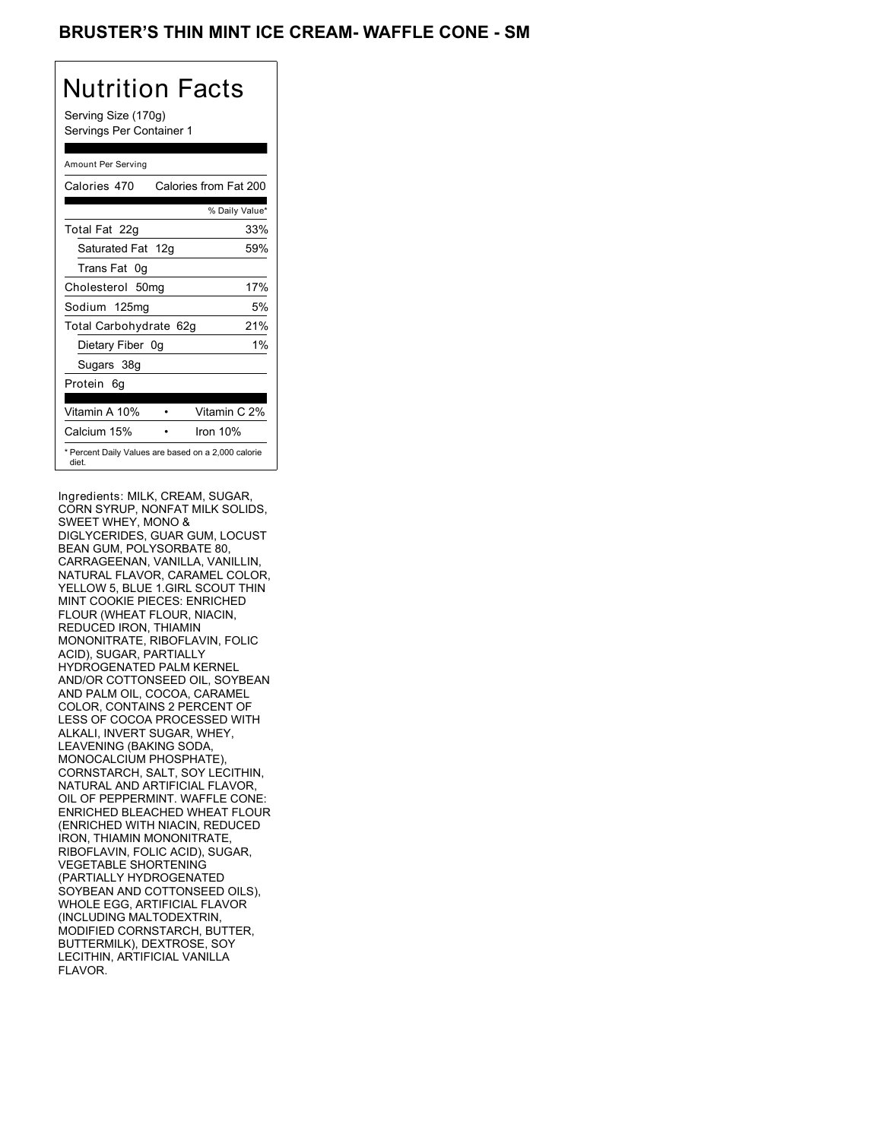## BRUSTER'S THIN MINT ICE CREAM- WAFFLE CONE - SM

## Nutrition Facts

Serving Size (170g) Servings Per Container 1

### Amount Per Serving

| Calories 470                                                 | Calories from Fat 200 |
|--------------------------------------------------------------|-----------------------|
|                                                              | % Daily Value*        |
| Total Fat 22g                                                | 33%                   |
| Saturated Fat 12g                                            | 59%                   |
| Trans Fat 0q                                                 |                       |
| Cholesterol 50mg                                             | 17%                   |
| Sodium 125mg                                                 | 5%                    |
| Total Carbohydrate 62g                                       | 21%                   |
| Dietary Fiber 0g                                             | $1\%$                 |
| Sugars 38g                                                   |                       |
| Protein 6q                                                   |                       |
| Vitamin A 10%                                                | Vitamin C 2%          |
| Calcium 15%                                                  | Iron 10%              |
| * Percent Daily Values are based on a 2,000 calorie<br>diet. |                       |

Ingredients: MILK, CREAM, SUGAR, CORN SYRUP, NONFAT MILK SOLIDS, SWEET WHEY, MONO & DIGLYCERIDES, GUAR GUM, LOCUST BEAN GUM, POLYSORBATE 80, CARRAGEENAN, VANILLA, VANILLIN, NATURAL FLAVOR, CARAMEL COLOR, YELLOW 5, BLUE 1.GIRL SCOUT THIN MINT COOKIE PIECES: ENRICHED FLOUR (WHEAT FLOUR, NIACIN, REDUCED IRON, THIAMIN MONONITRATE, RIBOFLAVIN, FOLIC ACID), SUGAR, PARTIALLY HYDROGENATED PALM KERNEL AND/OR COTTONSEED OIL, SOYBEAN AND PALM OIL, COCOA, CARAMEL COLOR, CONTAINS 2 PERCENT OF LESS OF COCOA PROCESSED WITH ALKALI, INVERT SUGAR, WHEY, LEAVENING (BAKING SODA, MONOCALCIUM PHOSPHATE), CORNSTARCH, SALT, SOY LECITHIN, NATURAL AND ARTIFICIAL FLAVOR, OIL OF PEPPERMINT. WAFFLE CONE: ENRICHED BLEACHED WHEAT FLOUR (ENRICHED WITH NIACIN, REDUCED IRON, THIAMIN MONONITRATE, RIBOFLAVIN, FOLIC ACID), SUGAR, VEGETABLE SHORTENING (PARTIALLY HYDROGENATED SOYBEAN AND COTTONSEED OILS), WHOLE EGG, ARTIFICIAL FLAVOR (INCLUDING MALTODEXTRIN, MODIFIED CORNSTARCH, BUTTER, BUTTERMILK), DEXTROSE, SOY LECITHIN, ARTIFICIAL VANILLA FLAVOR.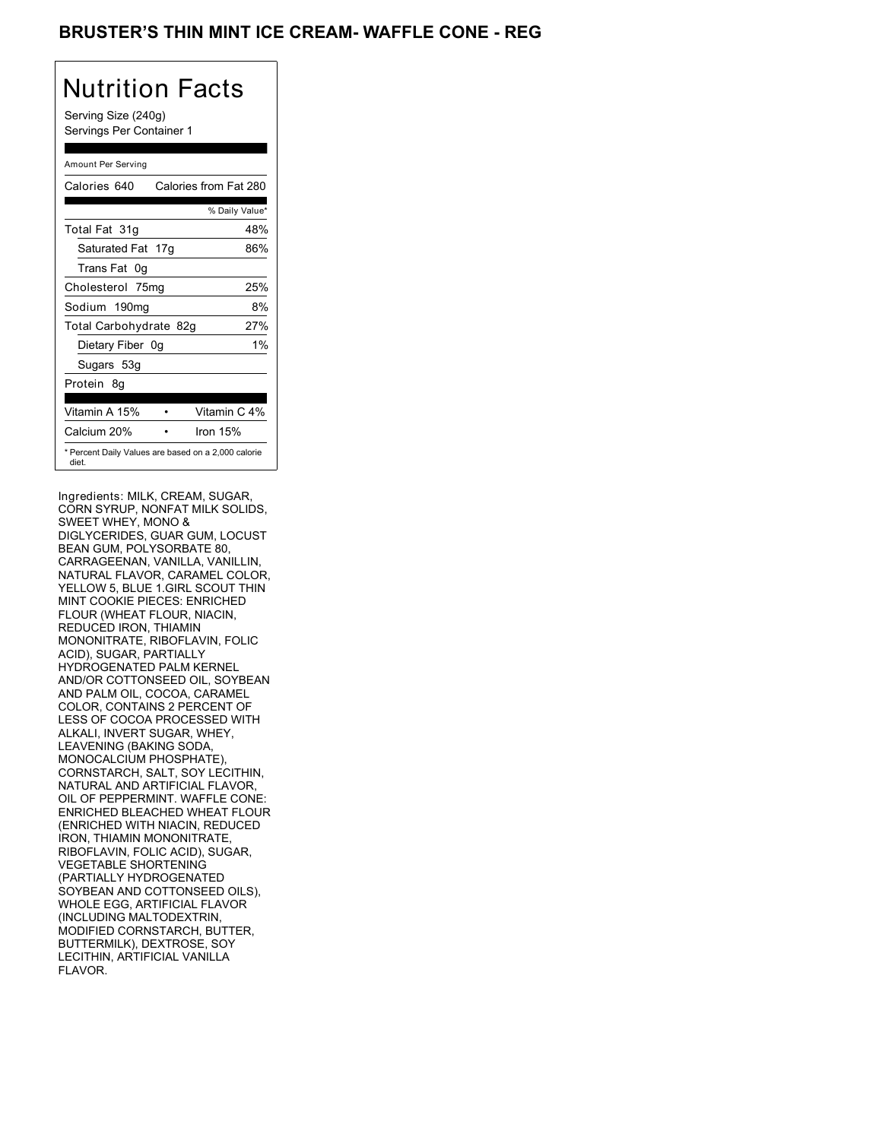## BRUSTER'S THIN MINT ICE CREAM- WAFFLE CONE - REG

## Nutrition Facts

Serving Size (240g) Servings Per Container 1

### Amount Per Serving

| Calories 640           | Calories from Fat 280                               |
|------------------------|-----------------------------------------------------|
|                        | % Daily Value*                                      |
| Total Fat 31g          | 48%                                                 |
| Saturated Fat 17g      | 86%                                                 |
| Trans Fat 0g           |                                                     |
| Cholesterol 75mg       | 25%                                                 |
| Sodium 190mg           | 8%                                                  |
| Total Carbohydrate 82g | 27%                                                 |
| Dietary Fiber 0g       | $1\%$                                               |
| Sugars 53g             |                                                     |
| Protein 8q             |                                                     |
| Vitamin A 15%          | Vitamin C 4%                                        |
| Calcium 20%            | Iron 15%                                            |
| diet.                  | * Percent Daily Values are based on a 2,000 calorie |

Ingredients: MILK, CREAM, SUGAR, CORN SYRUP, NONFAT MILK SOLIDS, SWEET WHEY, MONO & DIGLYCERIDES, GUAR GUM, LOCUST BEAN GUM, POLYSORBATE 80, CARRAGEENAN, VANILLA, VANILLIN, NATURAL FLAVOR, CARAMEL COLOR, YELLOW 5, BLUE 1.GIRL SCOUT THIN MINT COOKIE PIECES: ENRICHED FLOUR (WHEAT FLOUR, NIACIN, REDUCED IRON, THIAMIN MONONITRATE, RIBOFLAVIN, FOLIC ACID), SUGAR, PARTIALLY HYDROGENATED PALM KERNEL AND/OR COTTONSEED OIL, SOYBEAN AND PALM OIL, COCOA, CARAMEL COLOR, CONTAINS 2 PERCENT OF LESS OF COCOA PROCESSED WITH ALKALI, INVERT SUGAR, WHEY, LEAVENING (BAKING SODA, MONOCALCIUM PHOSPHATE), CORNSTARCH, SALT, SOY LECITHIN, NATURAL AND ARTIFICIAL FLAVOR, OIL OF PEPPERMINT. WAFFLE CONE: ENRICHED BLEACHED WHEAT FLOUR (ENRICHED WITH NIACIN, REDUCED IRON, THIAMIN MONONITRATE, RIBOFLAVIN, FOLIC ACID), SUGAR, VEGETABLE SHORTENING (PARTIALLY HYDROGENATED SOYBEAN AND COTTONSEED OILS), WHOLE EGG, ARTIFICIAL FLAVOR (INCLUDING MALTODEXTRIN, MODIFIED CORNSTARCH, BUTTER, BUTTERMILK), DEXTROSE, SOY LECITHIN, ARTIFICIAL VANILLA FLAVOR.